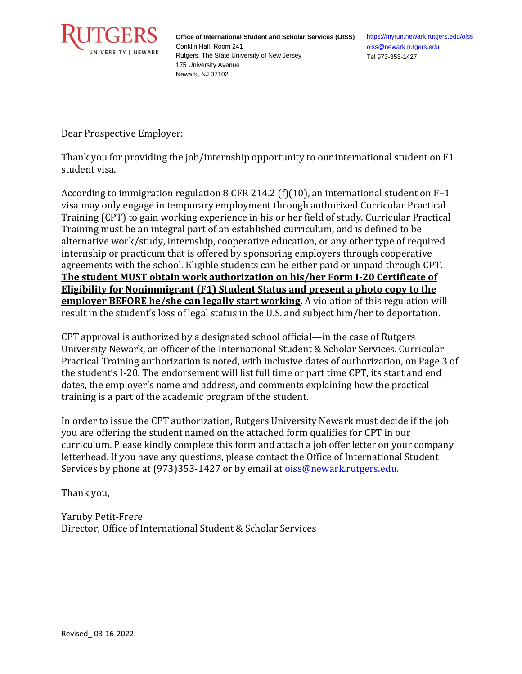

**Office of International Student and Scholar Services (OISS)** Conklin Hall, Room 241 Rutgers, The State University of New Jersey 175 University Avenue Newark, NJ 07102

<https://myrun.newark.rutgers.edu/oiss> [oiss@newark.rutgers.edu](mailto:oiss@newark.rutgers.edu) Tel 973-353-1427

Dear Prospective Employer:

Thank you for providing the job/internship opportunity to our international student on F1 student visa.

According to immigration regulation 8 CFR 214.2 (f)(10), an international student on  $F-1$ visa may only engage in temporary employment through authorized Curricular Practical Training (CPT) to gain working experience in his or her field of study. Curricular Practical Training must be an integral part of an established curriculum, and is defined to be alternative work/study, internship, cooperative education, or any other type of required internship or practicum that is offered by sponsoring employers through cooperative agreements with the school. Eligible students can be either paid or unpaid through CPT. **The student MUST obtain work authorization on his/her Form I-20 Certificate of Eligibility for Nonimmigrant (F1) Student Status and present a photo copy to the <u>employer BEFORE he/she can legally start working</u>. A violation of this regulation will** result in the student's loss of legal status in the U.S. and subject him/her to deportation.

CPT approval is authorized by a designated school official—in the case of Rutgers University Newark, an officer of the International Student & Scholar Services. Curricular Practical Training authorization is noted, with inclusive dates of authorization, on Page 3 of the student's I-20. The endorsement will list full time or part time CPT, its start and end dates, the employer's name and address, and comments explaining how the practical training is a part of the academic program of the student.

In order to issue the CPT authorization, Rutgers University Newark must decide if the job you are offering the student named on the attached form qualifies for CPT in our curriculum. Please kindly complete this form and attach a job offer letter on your company letterhead. If you have any questions, please contact the Office of International Student Services by phone at (973)353-1427 or by email at [oiss@newark.rutgers.edu.](mailto:oiss@newark.rutgers.edu.)

Thank you,

Yaruby Petit-Frere Director, Office of International Student & Scholar Services